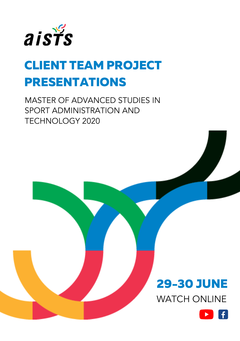

# CLIENT TEAM PROJECT PRESENTATIONS

MASTER OF ADVANCED STUDIES IN SPORT ADMINISTRATION AND TECHNOLOGY 2020



WATCH ONLINE

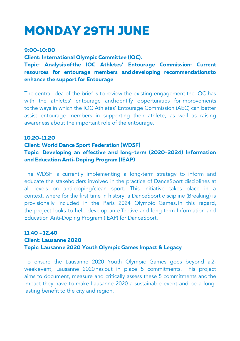# MONDAY 29TH JUNE

#### 9:00-10:00

Client: International Olympic Committee (IOC).

Topic: Analysisof the IOC Athletes' Entourage Commission: Current resources for entourage members anddeveloping recommendationsto enhance the support for Entourage

The central idea of the brief is to review the existing engagement the IOC has with the athletes' entourage andidentify opportunities forimprovements tothe ways in which the IOC Athletes' Entourage Commission (AEC) can better assist entourage members in supporting their athlete, as well as raising awareness about the important role of the entourage.

### 10.20-11.20

#### Client: World Dance Sport Federation (WDSF)

### Topic: Developing an effective and long-term (2020-2024) Information and Education Anti-Doping Program (IEAP)

The WDSF is currently implementing a long-term strategy to inform and educate the stakeholders involved in the practice of DanceSport disciplines at all levels on anti-doping/clean sport. This initiative takes place in a context, where for the first time in history, a DanceSport discipline (Breaking) is provisionally included in the Paris 2024 Olympic Games.In this regard, the project looks to help develop an effective and long-term Information and Education Anti-Doping Program (IEAP) for DanceSport.

### 11.40 - 12.40 Client: Lausanne 2020 Topic: Lausanne 2020 Youth Olympic Games Impact & Legacy

To ensure the Lausanne 2020 Youth Olympic Games goes beyond a2 weekevent, Lausanne 2020hasput in place 5 commitments. This project aims to document, measure and critically assess these 5 commitments andthe impact they have to make Lausanne 2020 a sustainable event and be a longlasting benefit to the city and region.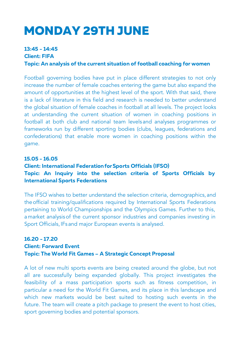# MONDAY 29TH JUNE

### 13:45 - 14:45

Client: FIFA

Topic: An analysis of the current situation of football coaching for women

Football governing bodies have put in place different strategies to not only increase the number of female coaches entering the game but also expand the amount of opportunities at the highest level of the sport. With that said, there is a lack of literature in this field and research is needed to better understand the global situation of female coaches in football at all levels. The project looks at understanding the current situation of women in coaching positions in football at both club and national team levels and analyses programmes or frameworks run by different sporting bodies (clubs, leagues, federations and confederations) that enable more women in coaching positions within the game.

### 15.05 - 16.05

### Client: International FederationforSports Officials (IFSO) Topic: An Inquiry into the selection criteria of Sports Officials by International Sports Federations

The IFSO wishes to better understand the selection criteria, demographics, and theofficial training/qualifications required by International Sports Federations pertaining to World Championships and the Olympics Games. Further to this, amarket analysisof the current sponsor industries and companies investing in Sport Officials, IFs and major European events is analysed.

### 16.20 - 17.20 Client: Forward Event Topic: The World Fit Games – A Strategic Concept Proposal

A lot of new multi sports events are being created around the globe, but not all are successfully being expanded globally. This project investigates the feasibility of a mass participation sports such as fitness competition, in particular a need for the World Fit Games, and its place in this landscape and which new markets would be best suited to hosting such events in the future. The team will create a pitch package to present the event to host cities, sport governing bodies and potential sponsors.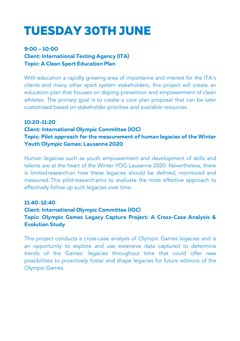# TUESDAY 30TH JUNE

## 9:00 – 10:00 Client: International Testing Agency (ITA) Topic: A Clean Sport Education Plan

With education a rapidly growing area of importance and interest for the ITA's clients and many other sport system stakeholders, this project will create an education plan that focuses on doping prevention and empowerment of clean athletes. The primary goal is to create a core plan proposal that can be later customised based on stakeholder priorities and available resources.

### 10:20-11:20

### Client: International Olympic Committee (IOC)

Topic: Pilot approach for the measurement of human legacies of the Winter Youth Olympic Games: Lausanne 2020

Human legacies such as youth empowerment and development of skills and talents are at the heart of the Winter YOG Lausanne 2020. Nevertheless, there is limitedresearchon how these legacies should be defined, monitored and measured.This pilotresearchaims to evaluate the most effective approach to effectively follow up such legacies over time.

### 11:40-12:40

## Client: International Olympic Committee (IOC) Topic: Olympic Games Legacy Capture Project: A Cross-Case Analysis & Evolution Study

This project conducts a cross-case analysis of Olympic Games legacies and is an opportunity to explore and use extensive data captured to determine trends of the Games' legacies throughout time that could offer new possibilities to proactively foster and shape legacies for future editions of the Olympic Games.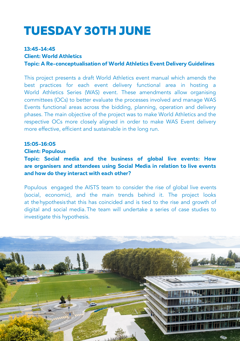# TUESDAY 30TH JUNE

#### 13:45-14:45

Client: World Athletics

Topic: A Re-conceptualisation of World Athletics Event Delivery Guidelines

This project presents a draft World Athletics event manual which amends the best practices for each event delivery functional area in hosting a World Athletics Series (WAS) event. These amendments allow organising committees (OCs) to better evaluate the processes involved and manage WAS Events functional areas across the bidding, planning, operation and delivery phases. The main objective of the project was to make World Athletics and the respective OCs more closely aligned in order to make WAS Event delivery more effective, efficient and sustainable in the long run.

### 15:05-16:05

#### Client: Populous

Topic: Social media and the business of global live events: How are organisers and attendees using Social Media in relation to live events and how do they interact with each other?

Populous engaged the AISTS team to consider the rise of global live events (social, economic), and the main trends behind it. The project looks at thehypothesis that this has coincided and is tied to the rise and growth of digital and social media.The team will undertake a series of case studies to investigate this hypothesis.

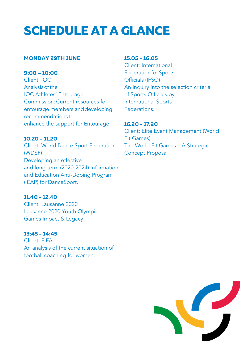# SCHEDULE AT A GLANCE

#### MONDAY 29TH JUNE

9:00 – 10:00 Client: IOC Analysisofthe IOC Athletes' Entourage Commission:Current resources for entourage members anddeveloping recommendations to enhance the support for Entourage.

10.20 - 11.20 Client: World Dance Sport Federation (WDSF) Developing an effective and long-term (2020-2024) Information and Education Anti-Doping Program (IEAP) for DanceSport.

11.40 - 12.40 Client: Lausanne 2020 Lausanne 2020 Youth Olympic Games Impact & Legacy.

13:45 - 14:45 Client: FIFA An analysis of the current situation of football coaching for women.

#### 15.05 - 16.05

Client: International Federation for Sports Officials (IFSO) An Inquiry into the selection criteria of Sports Officials by International Sports Federations.

16.20 - 17.20 Client: Elite Event Management (World Fit Games) The World Fit Games – A Strategic Concept Proposal

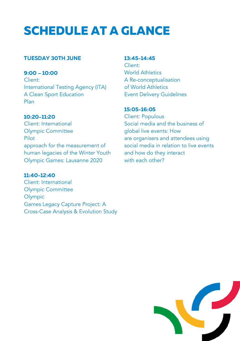# SCHEDULE AT A GLANCE

### TUESDAY 30TH JUNE

9:00 – 10:00 Client: International Testing Agency (ITA) A Clean Sport Education Plan

### 10:20-11:20

Client: International Olympic Committee Pilot approach for the measurement of human legacies of the Winter Youth Olympic Games: Lausanne 2020

### 11:40-12:40

Client: International Olympic Committee Olympic Games Legacy Capture Project: A Cross-Case Analysis & Evolution Study

### 13:45-14:45

Client: World Athletics A Re-conceptualisation of World Athletics Event Delivery Guidelines

### 15:05-16:05

Client: Populous Social media and the business of global live events: How are organisers and attendees using social media in relation to live events and how do they interact with each other?